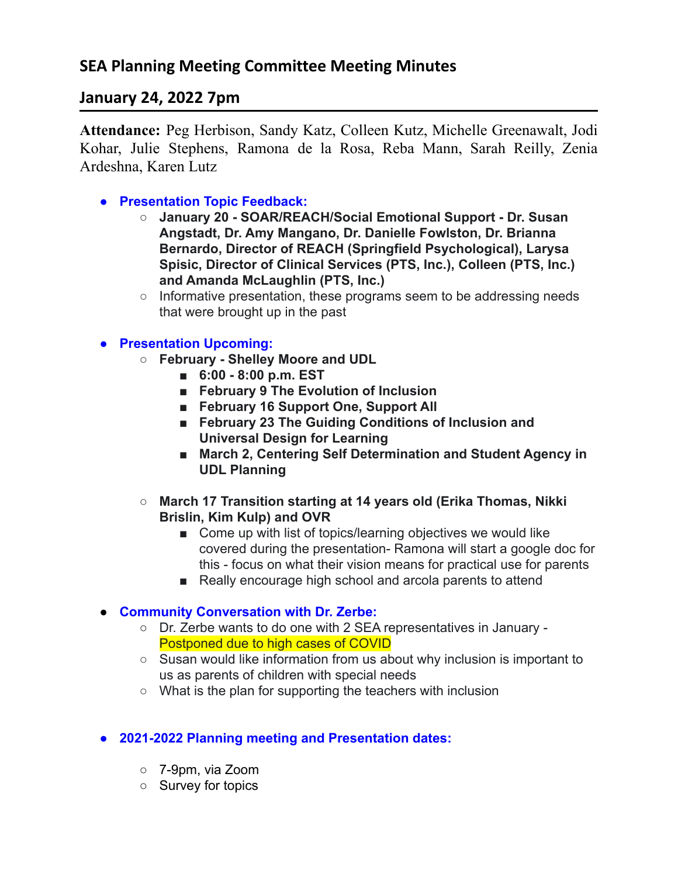# **January 24, 2022 7pm**

**Attendance:** Peg Herbison, Sandy Katz, Colleen Kutz, Michelle Greenawalt, Jodi Kohar, Julie Stephens, Ramona de la Rosa, Reba Mann, Sarah Reilly, Zenia Ardeshna, Karen Lutz

**● Presentation Topic Feedback:**

- **○ January 20 SOAR/REACH/Social Emotional Support Dr. Susan Angstadt, Dr. Amy Mangano, Dr. Danielle Fowlston, Dr. Brianna Bernardo, Director of REACH (Springfield Psychological), Larysa Spisic, Director of Clinical Services (PTS, Inc.), Colleen (PTS, Inc.) and Amanda McLaughlin (PTS, Inc.)**
- Informative presentation, these programs seem to be addressing needs that were brought up in the past

### **● Presentation Upcoming:**

- **○ February Shelley Moore and UDL**
	- **■ 6:00 8:00 p.m. EST**
	- **■ February 9 The Evolution of Inclusion**
	- **■ February 16 Support One, Support All**
	- **■ February 23 The Guiding Conditions of Inclusion and Universal Design for Learning**
	- **March 2, Centering Self Determination and Student Agency in UDL Planning**
- **○ March 17 Transition starting at 14 years old (Erika Thomas, Nikki Brislin, Kim Kulp) and OVR**
	- Come up with list of topics/learning objectives we would like covered during the presentation- Ramona will start a google doc for this - focus on what their vision means for practical use for parents
	- Really encourage high school and arcola parents to attend

## **● Community Conversation with Dr. Zerbe:**

- **○** Dr. Zerbe wants to do one with 2 SEA representatives in January Postponed due to high cases of COVID
- Susan would like information from us about why inclusion is important to us as parents of children with special needs
- What is the plan for supporting the teachers with inclusion

### **● 2021-2022 Planning meeting and Presentation dates:**

- 7-9pm, via Zoom
- Survey for topics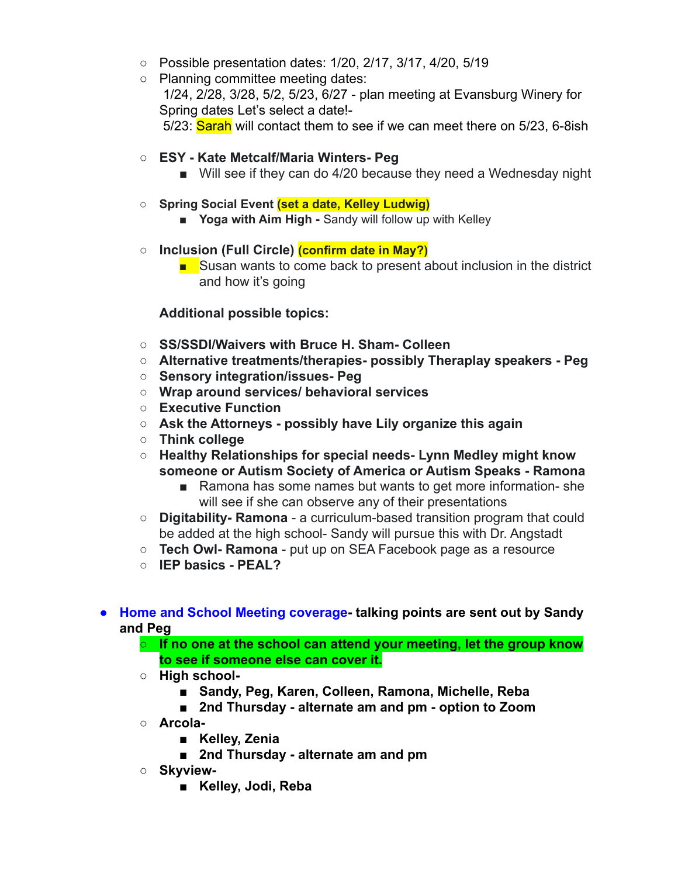- Possible presentation dates: 1/20, 2/17, 3/17, 4/20, 5/19
- Planning committee meeting dates: 1/24, 2/28, 3/28, 5/2, 5/23, 6/27 - plan meeting at Evansburg Winery for Spring dates Let's select a date!- 5/23: Sarah will contact them to see if we can meet there on 5/23, 6-8ish
- **○ ESY Kate Metcalf/Maria Winters- Peg**
	- Will see if they can do 4/20 because they need a Wednesday night
- **○ Spring Social Event (set a date, Kelley Ludwig)**
	- **■ Yoga with Aim High -** Sandy will follow up with Kelley
- **○ Inclusion (Full Circle) (confirm date in May?)**
	- Susan wants to come back to present about inclusion in the district and how it's going

#### **Additional possible topics:**

- **○ SS/SSDI/Waivers with Bruce H. Sham- Colleen**
- **○ Alternative treatments/therapies- possibly Theraplay speakers Peg**
- **○ Sensory integration/issues- Peg**
- **○ Wrap around services/ behavioral services**
- **○ Executive Function**
- **○ Ask the Attorneys possibly have Lily organize this again**
- **○ Think college**
- **○ Healthy Relationships for special needs- Lynn Medley might know someone or Autism Society of America or Autism Speaks - Ramona**
	- Ramona has some names but wants to get more information-she will see if she can observe any of their presentations
- **○ Digitability- Ramona** a curriculum-based transition program that could be added at the high school- Sandy will pursue this with Dr. Angstadt
- **○ Tech Owl- Ramona** put up on SEA Facebook page as a resource
- **○ IEP basics PEAL?**
- **● Home and School Meeting coverage- talking points are sent out by Sandy and Peg**
	- **○ If no one at the school can attend your meeting, let the group know to see if someone else can cover it.**
	- **○ High school-**
		- **■ Sandy, Peg, Karen, Colleen, Ramona, Michelle, Reba**
		- **■ 2nd Thursday alternate am and pm option to Zoom**
	- **○ Arcola-**
		- **■ Kelley, Zenia**
		- **■ 2nd Thursday alternate am and pm**
	- **○ Skyview-**
		- **■ Kelley, Jodi, Reba**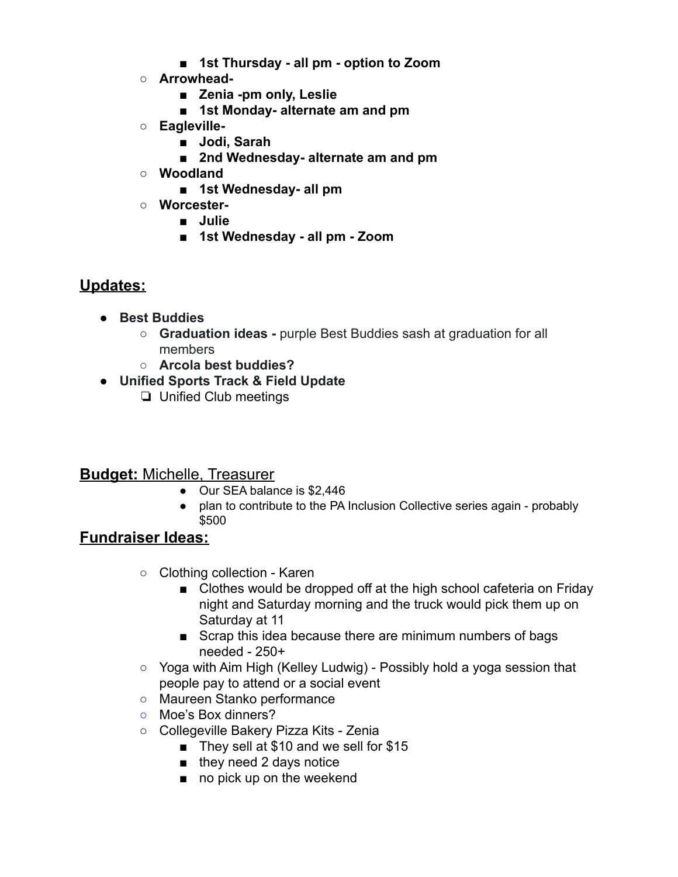- **■ 1st Thursday all pm option to Zoom**
- **○ Arrowhead-**
	- **■ Zenia -pm only, Leslie**
	- **■ 1st Monday- alternate am and pm**
- **○ Eagleville-**
	- **■ Jodi, Sarah**
	- **■ 2nd Wednesday- alternate am and pm**
- **○ Woodland**
	- **■ 1st Wednesday- all pm**
- **○ Worcester-**
	- **■ Julie**
	- **■ 1st Wednesday all pm Zoom**

## **Updates:**

- **● Best Buddies**
	- **○ Graduation ideas -** purple Best Buddies sash at graduation for all members
	- **○ Arcola best buddies?**
- **● Unified Sports Track & Field Update**
	- ❏ Unified Club meetings

## **Budget:** Michelle, Treasurer

- Our SEA balance is \$2,446
- plan to contribute to the PA Inclusion Collective series again probably \$500

## **Fundraiser Ideas:**

- Clothing collection Karen
	- Clothes would be dropped off at the high school cafeteria on Friday night and Saturday morning and the truck would pick them up on Saturday at 11
	- Scrap this idea because there are minimum numbers of bags needed - 250+
- Yoga with Aim High (Kelley Ludwig) Possibly hold a yoga session that people pay to attend or a social event
- Maureen Stanko performance
- **○** Moe's Box dinners?
- Collegeville Bakery Pizza Kits Zenia
	- They sell at \$10 and we sell for \$15
	- they need 2 days notice
	- no pick up on the weekend